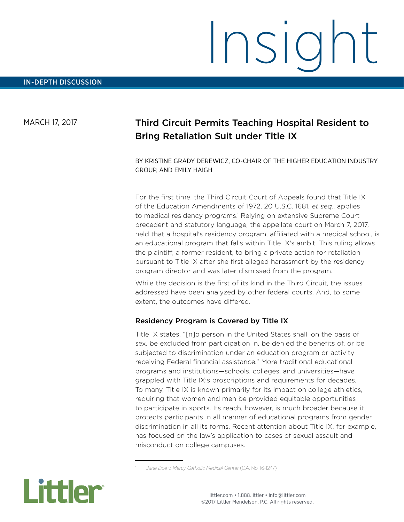# Insight

#### MARCH 17, 2017

### Third Circuit Permits Teaching Hospital Resident to Bring Retaliation Suit under Title IX

BY KRISTINE GRADY DEREWICZ, CO-CHAIR OF THE HIGHER EDUCATION INDUSTRY GROUP, AND EMILY HAIGH

For the first time, the Third Circuit Court of Appeals found that Title IX of the Education Amendments of 1972, 20 U.S.C. 1681, *et seq.*, applies to medical residency programs.<sup>1</sup> Relying on extensive Supreme Court precedent and statutory language, the appellate court on March 7, 2017, held that a hospital's residency program, affiliated with a medical school, is an educational program that falls within Title IX's ambit. This ruling allows the plaintiff, a former resident, to bring a private action for retaliation pursuant to Title IX after she first alleged harassment by the residency program director and was later dismissed from the program.

While the decision is the first of its kind in the Third Circuit, the issues addressed have been analyzed by other federal courts. And, to some extent, the outcomes have differed.

#### Residency Program is Covered by Title IX

Title IX states, "[n]o person in the United States shall, on the basis of sex, be excluded from participation in, be denied the benefits of, or be subjected to discrimination under an education program or activity receiving Federal financial assistance." More traditional educational programs and institutions—schools, colleges, and universities—have grappled with Title IX's proscriptions and requirements for decades. To many, Title IX is known primarily for its impact on college athletics, requiring that women and men be provided equitable opportunities to participate in sports. Its reach, however, is much broader because it protects participants in all manner of educational programs from gender discrimination in all its forms. Recent attention about Title IX, for example, has focused on the law's application to cases of sexual assault and misconduct on college campuses.

<sup>1</sup> *Jane Doe v. Mercy Catholic Medical Center* (C.A. No. 16-1247).

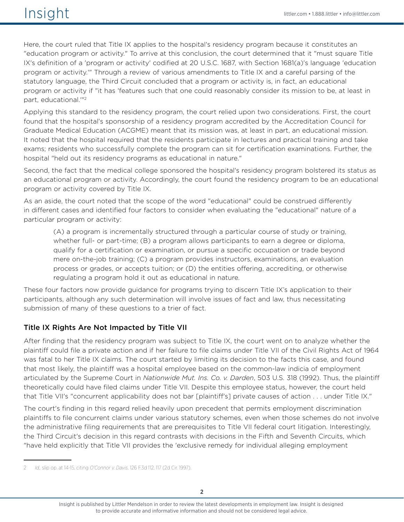## $\sqrt{151}$   $\sqrt{151}$   $\sqrt{151}$   $\sqrt{151}$   $\sqrt{151}$   $\sqrt{151}$   $\sqrt{151}$   $\sqrt{151}$   $\sqrt{151}$   $\sqrt{151}$   $\sqrt{151}$   $\sqrt{151}$   $\sqrt{151}$   $\sqrt{151}$   $\sqrt{151}$   $\sqrt{151}$   $\sqrt{151}$   $\sqrt{151}$   $\sqrt{151}$   $\sqrt{151}$   $\sqrt{151}$   $\sqrt{151}$

Here, the court ruled that Title IX applies to the hospital's residency program because it constitutes an "education program or activity." To arrive at this conclusion, the court determined that it "must square Title IX's definition of a 'program or activity' codified at 20 U.S.C. 1687, with Section 1681(a)'s language 'education program or activity.'" Through a review of various amendments to Title IX and a careful parsing of the statutory language, the Third Circuit concluded that a program or activity is, in fact, an educational program or activity if "it has 'features such that one could reasonably consider its mission to be, at least in part, educational.'"2

Applying this standard to the residency program, the court relied upon two considerations. First, the court found that the hospital's sponsorship of a residency program accredited by the Accreditation Council for Graduate Medical Education (ACGME) meant that its mission was, at least in part, an educational mission. It noted that the hospital required that the residents participate in lectures and practical training and take exams; residents who successfully complete the program can sit for certification examinations. Further, the hospital "held out its residency programs as educational in nature."

Second, the fact that the medical college sponsored the hospital's residency program bolstered its status as an educational program or activity. Accordingly, the court found the residency program to be an educational program or activity covered by Title IX.

As an aside, the court noted that the scope of the word "educational" could be construed differently in different cases and identified four factors to consider when evaluating the "educational" nature of a particular program or activity:

(A) a program is incrementally structured through a particular course of study or training, whether full- or part-time; (B) a program allows participants to earn a degree or diploma, qualify for a certification or examination, or pursue a specific occupation or trade beyond mere on-the-job training; (C) a program provides instructors, examinations, an evaluation process or grades, or accepts tuition; or (D) the entities offering, accrediting, or otherwise regulating a program hold it out as educational in nature.

These four factors now provide guidance for programs trying to discern Title IX's application to their participants, although any such determination will involve issues of fact and law, thus necessitating submission of many of these questions to a trier of fact.

#### Title IX Rights Are Not Impacted by Title VII

After finding that the residency program was subject to Title IX, the court went on to analyze whether the plaintiff could file a private action and if her failure to file claims under Title VII of the Civil Rights Act of 1964 was fatal to her Title IX claims. The court started by limiting its decision to the facts this case, and found that most likely, the plaintiff was a hospital employee based on the common-law indicia of employment articulated by the Supreme Court in *Nationwide Mut. Ins. Co. v. Darden*, 503 U.S. 318 (1992). Thus, the plaintiff theoretically could have filed claims under Title VII. Despite this employee status, however, the court held that Title VII's "concurrent applicability does not bar [plaintiff's] private causes of action . . . under Title IX."

The court's finding in this regard relied heavily upon precedent that permits employment discrimination plaintiffs to file concurrent claims under various statutory schemes, even when those schemes do not involve the administrative filing requirements that are prerequisites to Title VII federal court litigation. Interestingly, the Third Circuit's decision in this regard contrasts with decisions in the Fifth and Seventh Circuits, which "have held explicitly that Title VII provides the 'exclusive remedy for individual alleging employment

<sup>2</sup> *Id.,* slip op. at 14-15, citing *O'Connor v. Davis*, 126 F.3d 112, 117 (2d Cir. 1997).